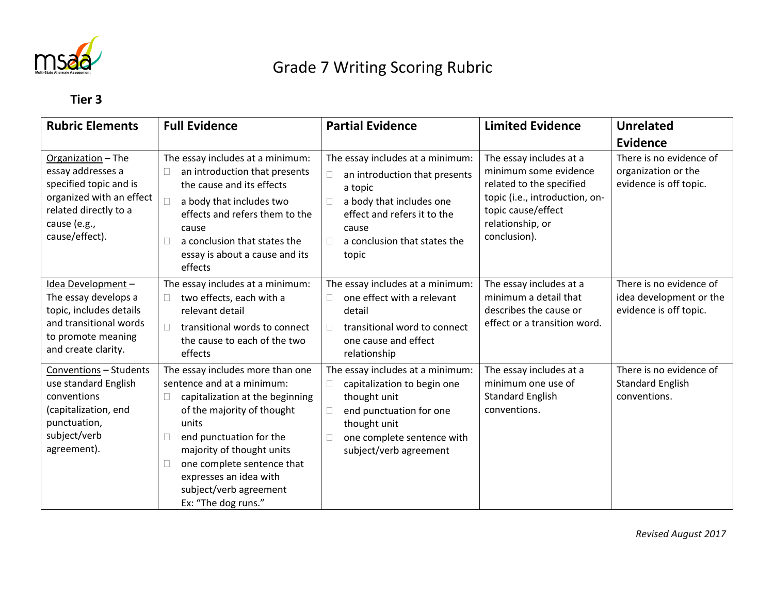

## Grade 7 Writing Scoring Rubric

## **Tier 3**

| <b>Rubric Elements</b>                                                                                                                                   | <b>Full Evidence</b>                                                                                                                                                                                                                                                                                      | <b>Partial Evidence</b>                                                                                                                                                                                   | <b>Limited Evidence</b>                                                                                                                                                  | <b>Unrelated</b>                                                             |
|----------------------------------------------------------------------------------------------------------------------------------------------------------|-----------------------------------------------------------------------------------------------------------------------------------------------------------------------------------------------------------------------------------------------------------------------------------------------------------|-----------------------------------------------------------------------------------------------------------------------------------------------------------------------------------------------------------|--------------------------------------------------------------------------------------------------------------------------------------------------------------------------|------------------------------------------------------------------------------|
|                                                                                                                                                          |                                                                                                                                                                                                                                                                                                           |                                                                                                                                                                                                           |                                                                                                                                                                          | <b>Evidence</b>                                                              |
| Organization - The<br>essay addresses a<br>specified topic and is<br>organized with an effect<br>related directly to a<br>cause (e.g.,<br>cause/effect). | The essay includes at a minimum:<br>an introduction that presents<br>the cause and its effects<br>a body that includes two<br>effects and refers them to the<br>cause<br>a conclusion that states the<br>essay is about a cause and its<br>effects                                                        | The essay includes at a minimum:<br>an introduction that presents<br>Ω.<br>a topic<br>a body that includes one<br>□<br>effect and refers it to the<br>cause<br>a conclusion that states the<br>П<br>topic | The essay includes at a<br>minimum some evidence<br>related to the specified<br>topic (i.e., introduction, on-<br>topic cause/effect<br>relationship, or<br>conclusion). | There is no evidence of<br>organization or the<br>evidence is off topic.     |
| Idea Development -<br>The essay develops a<br>topic, includes details<br>and transitional words<br>to promote meaning<br>and create clarity.             | The essay includes at a minimum:<br>two effects, each with a<br>relevant detail<br>transitional words to connect<br>the cause to each of the two<br>effects                                                                                                                                               | The essay includes at a minimum:<br>one effect with a relevant<br>П<br>detail<br>transitional word to connect<br>П<br>one cause and effect<br>relationship                                                | The essay includes at a<br>minimum a detail that<br>describes the cause or<br>effect or a transition word.                                                               | There is no evidence of<br>idea development or the<br>evidence is off topic. |
| Conventions - Students<br>use standard English<br>conventions<br>(capitalization, end<br>punctuation,<br>subject/verb<br>agreement).                     | The essay includes more than one<br>sentence and at a minimum:<br>capitalization at the beginning<br>of the majority of thought<br>units<br>end punctuation for the<br>majority of thought units<br>one complete sentence that<br>expresses an idea with<br>subject/verb agreement<br>Ex: "The dog runs." | The essay includes at a minimum:<br>capitalization to begin one<br>$\Box$<br>thought unit<br>end punctuation for one<br>□<br>thought unit<br>one complete sentence with<br>□<br>subject/verb agreement    | The essay includes at a<br>minimum one use of<br><b>Standard English</b><br>conventions.                                                                                 | There is no evidence of<br><b>Standard English</b><br>conventions.           |

*Revised August 2017*